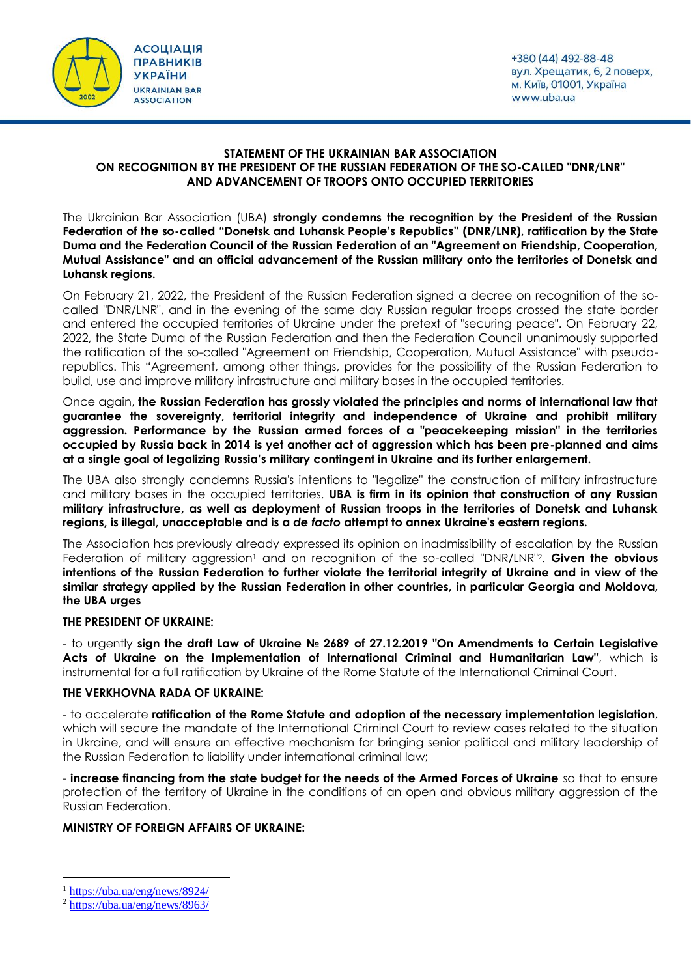



## **STATEMENT OF THE UKRAINIAN BAR ASSOCIATION ON RECOGNITION BY THE PRESIDENT OF THE RUSSIAN FEDERATION OF THE SO-CALLED "DNR/LNR" AND ADVANCEMENT OF TROOPS ONTO OCCUPIED TERRITORIES**

The Ukrainian Bar Association (UBA) **strongly condemns the recognition by the President of the Russian Federation of the so-called "Donetsk and Luhansk People's Republics" (DNR/LNR), ratification by the State Duma and the Federation Council of the Russian Federation of an "Agreement on Friendship, Cooperation, Mutual Assistance" and an official advancement of the Russian military onto the territories of Donetsk and Luhansk regions.**

On February 21, 2022, the President of the Russian Federation signed a decree on recognition of the socalled "DNR/LNR", and in the evening of the same day Russian regular troops crossed the state border and entered the occupied territories of Ukraine under the pretext of "securing peace". On February 22, 2022, the State Duma of the Russian Federation and then the Federation Council unanimously supported the ratification of the so-called "Agreement on Friendship, Cooperation, Mutual Assistance" with pseudorepublics. This "Agreement, among other things, provides for the possibility of the Russian Federation to build, use and improve military infrastructure and military bases in the occupied territories.

Once again, **the Russian Federation has grossly violated the principles and norms of international law that guarantee the sovereignty, territorial integrity and independence of Ukraine and prohibit military aggression. Performance by the Russian armed forces of a "peacekeeping mission" in the territories occupied by Russia back in 2014 is yet another act of aggression which has been pre-planned and aims at a single goal of legalizing Russia's military contingent in Ukraine and its further enlargement.**

The UBA also strongly condemns Russia's intentions to "legalize" the construction of military infrastructure and military bases in the occupied territories. **UBA is firm in its opinion that construction of any Russian military infrastructure, as well as deployment of Russian troops in the territories of Donetsk and Luhansk regions, is illegal, unacceptable and is a** *de facto* **attempt to annex Ukraine's eastern regions.**

The Association has previously already expressed its opinion on inadmissibility of escalation by the Russian Federation of military aggression<sup>1</sup> and on recognition of the so-called "DNR/LNR"<sup>2</sup>. Given the obvious **intentions of the Russian Federation to further violate the territorial integrity of Ukraine and in view of the similar strategy applied by the Russian Federation in other countries, in particular Georgia and Moldova, the UBA urges**

## **THE PRESIDENT OF UKRAINE:**

- to urgently **sign the draft Law of Ukraine № 2689 of 27.12.2019 "On Amendments to Certain Legislative Acts of Ukraine on the Implementation of International Criminal and Humanitarian Law"**, which is instrumental for a full ratification by Ukraine of the Rome Statute of the International Criminal Court.

## **THE VERKHOVNA RADA OF UKRAINE:**

- to accelerate **ratification of the Rome Statute and adoption of the necessary implementation legislation**, which will secure the mandate of the International Criminal Court to review cases related to the situation in Ukraine, and will ensure an effective mechanism for bringing senior political and military leadership of the Russian Federation to liability under international criminal law;

- **increase financing from the state budget for the needs of the Armed Forces of Ukraine** so that to ensure protection of the territory of Ukraine in the conditions of an open and obvious military aggression of the Russian Federation.

## **MINISTRY OF FOREIGN AFFAIRS OF UKRAINE:**

1

<sup>1</sup> <https://uba.ua/eng/news/8924/>

 $2$  <https://uba.ua/eng/news/8963/>